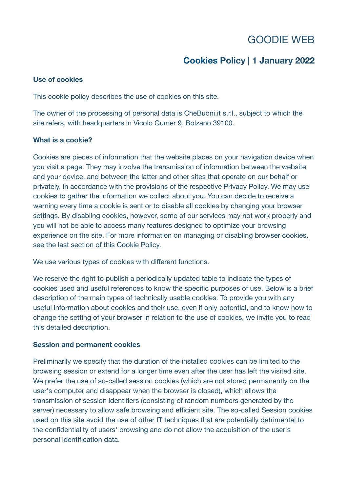# GOODIE WEB

## **Cookies Policy | 1 January 2022**

## **Use of cookies**

This cookie policy describes the use of cookies on this site.

The owner of the processing of personal data is CheBuoni.it s.r.l., subject to which the site refers, with headquarters in Vicolo Gumer 9, Bolzano 39100.

## **What is a cookie?**

Cookies are pieces of information that the website places on your navigation device when you visit a page. They may involve the transmission of information between the website and your device, and between the latter and other sites that operate on our behalf or privately, in accordance with the provisions of the respective Privacy Policy. We may use cookies to gather the information we collect about you. You can decide to receive a warning every time a cookie is sent or to disable all cookies by changing your browser settings. By disabling cookies, however, some of our services may not work properly and you will not be able to access many features designed to optimize your browsing experience on the site. For more information on managing or disabling browser cookies, see the last section of this Cookie Policy.

We use various types of cookies with different functions.

We reserve the right to publish a periodically updated table to indicate the types of cookies used and useful references to know the specific purposes of use. Below is a brief description of the main types of technically usable cookies. To provide you with any useful information about cookies and their use, even if only potential, and to know how to change the setting of your browser in relation to the use of cookies, we invite you to read this detailed description.

## **Session and permanent cookies**

Preliminarily we specify that the duration of the installed cookies can be limited to the browsing session or extend for a longer time even after the user has left the visited site. We prefer the use of so-called session cookies (which are not stored permanently on the user's computer and disappear when the browser is closed), which allows the transmission of session identifiers (consisting of random numbers generated by the server) necessary to allow safe browsing and efficient site. The so-called Session cookies used on this site avoid the use of other IT techniques that are potentially detrimental to the confidentiality of users' browsing and do not allow the acquisition of the user's personal identification data.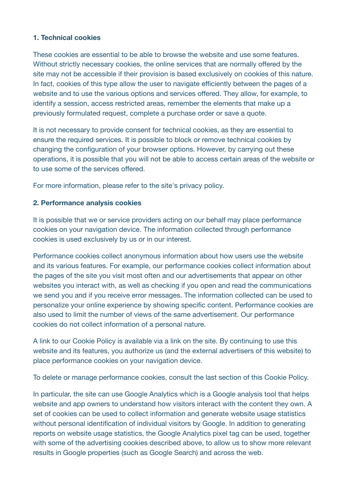## **1. Technical cookies**

These cookies are essential to be able to browse the website and use some features. Without strictly necessary cookies, the online services that are normally offered by the site may not be accessible if their provision is based exclusively on cookies of this nature. In fact, cookies of this type allow the user to navigate efficiently between the pages of a website and to use the various options and services offered. They allow, for example, to identify a session, access restricted areas, remember the elements that make up a previously formulated request, complete a purchase order or save a quote.

It is not necessary to provide consent for technical cookies, as they are essential to ensure the required services. It is possible to block or remove technical cookies by changing the configuration of your browser options. However, by carrying out these operations, it is possible that you will not be able to access certain areas of the website or to use some of the services offered.

For more information, please refer to the site's privacy policy.

## **2. Performance analysis cookies**

It is possible that we or service providers acting on our behalf may place performance cookies on your navigation device. The information collected through performance cookies is used exclusively by us or in our interest.

Performance cookies collect anonymous information about how users use the website and its various features. For example, our performance cookies collect information about the pages of the site you visit most often and our advertisements that appear on other websites you interact with, as well as checking if you open and read the communications we send you and if you receive error messages. The information collected can be used to personalize your online experience by showing specific content. Performance cookies are also used to limit the number of views of the same advertisement. Our performance cookies do not collect information of a personal nature.

A link to our Cookie Policy is available via a link on the site. By continuing to use this website and its features, you authorize us (and the external advertisers of this website) to place performance cookies on your navigation device.

To delete or manage performance cookies, consult the last section of this Cookie Policy.

In particular, the site can use Google Analytics which is a Google analysis tool that helps website and app owners to understand how visitors interact with the content they own. A set of cookies can be used to collect information and generate website usage statistics without personal identification of individual visitors by Google. In addition to generating reports on website usage statistics, the Google Analytics pixel tag can be used, together with some of the advertising cookies described above, to allow us to show more relevant results in Google properties (such as Google Search) and across the web.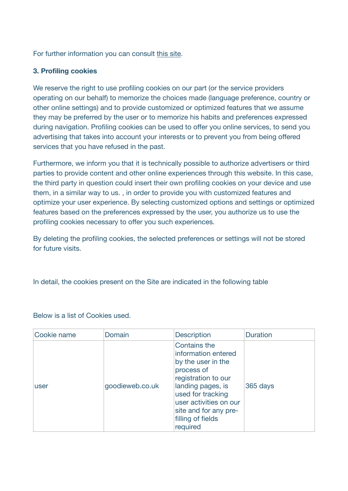For further information you can consult [this site.](https://developers.google.com/analytics/devguides/collection/analyticsjs/cookie-usage)

## **3. Profiling cookies**

We reserve the right to use profiling cookies on our part (or the service providers operating on our behalf) to memorize the choices made (language preference, country or other online settings) and to provide customized or optimized features that we assume they may be preferred by the user or to memorize his habits and preferences expressed during navigation. Profiling cookies can be used to offer you online services, to send you advertising that takes into account your interests or to prevent you from being offered services that you have refused in the past.

Furthermore, we inform you that it is technically possible to authorize advertisers or third parties to provide content and other online experiences through this website. In this case, the third party in question could insert their own profiling cookies on your device and use them, in a similar way to us. , in order to provide you with customized features and optimize your user experience. By selecting customized options and settings or optimized features based on the preferences expressed by the user, you authorize us to use the profiling cookies necessary to offer you such experiences.

By deleting the profiling cookies, the selected preferences or settings will not be stored for future visits.

In detail, the cookies present on the Site are indicated in the following table

| Cookie name | Domain          | <b>Description</b>                                                                                                                                                                                                           | <b>Duration</b> |
|-------------|-----------------|------------------------------------------------------------------------------------------------------------------------------------------------------------------------------------------------------------------------------|-----------------|
| user        | goodieweb.co.uk | Contains the<br>information entered<br>by the user in the<br>process of<br>registration to our<br>landing pages, is<br>used for tracking<br>user activities on our<br>site and for any pre-<br>filling of fields<br>required | 365 days        |

Below is a list of Cookies used.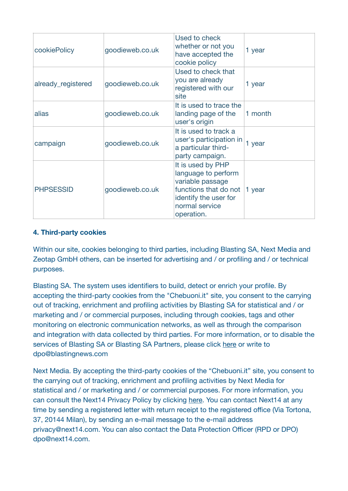| cookiePolicy       | goodieweb.co.uk | Used to check<br>whether or not you<br>have accepted the<br>cookie policy                                                                      | 1 year  |
|--------------------|-----------------|------------------------------------------------------------------------------------------------------------------------------------------------|---------|
| already_registered | goodieweb.co.uk | Used to check that<br>you are already<br>registered with our<br>site                                                                           | 1 year  |
| alias              | goodieweb.co.uk | It is used to trace the<br>landing page of the<br>user's origin                                                                                | 1 month |
| campaign           | goodieweb.co.uk | It is used to track a<br>user's participation in<br>a particular third-<br>party campaign.                                                     | 1 year  |
| <b>PHPSESSID</b>   | goodieweb.co.uk | It is used by PHP<br>language to perform<br>variable passage<br>functions that do not<br>identify the user for<br>normal service<br>operation. | 1 year  |

## **4. Third-party cookies**

Within our site, cookies belonging to third parties, including Blasting SA, Next Media and Zeotap GmbH others, can be inserted for advertising and / or profiling and / or technical purposes.

Blasting SA. The system uses identifiers to build, detect or enrich your profile. By accepting the third-party cookies from the "Chebuoni.it" site, you consent to the carrying out of tracking, enrichment and profiling activities by Blasting SA for statistical and / or marketing and / or commercial purposes, including through cookies, tags and other monitoring on electronic communication networks, as well as through the comparison and integration with data collected by third parties. For more information, or to disable the services of Blasting SA or Blasting SA Partners, please click [here](https://www.blastingnews.com/privacy/) or write to dpo@blastingnews.com

Next Media. By accepting the third-party cookies of the "Chebuoni.it" site, you consent to the carrying out of tracking, enrichment and profiling activities by Next Media for statistical and / or marketing and / or commercial purposes. For more information, you can consult the Next14 Privacy Policy by clicking [here](https://get.next14.com/docs/Informativa_Estesa_Privacy_NEXTMEDIA_v1.3.1.pdf). You can contact Next14 at any time by sending a registered letter with return receipt to the registered office (Via Tortona, 37, 20144 Milan), by sending an e-mail message to the e-mail address privacy@next14.com. You can also contact the Data Protection Officer (RPD or DPO) dpo@next14.com.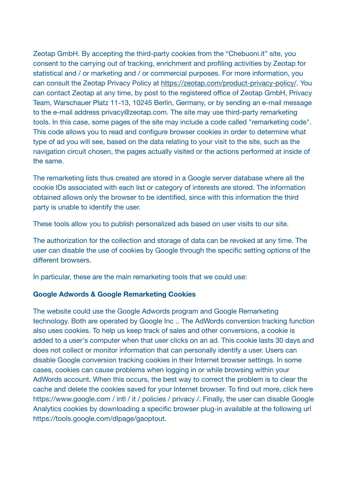Zeotap GmbH. By accepting the third-party cookies from the "Chebuoni.it" site, you consent to the carrying out of tracking, enrichment and profiling activities by Zeotap for statistical and / or marketing and / or commercial purposes. For more information, you can consult the Zeotap Privacy Policy at <https://zeotap.com/product-privacy-policy/>. You can contact Zeotap at any time, by post to the registered office of Zeotap GmbH, Privacy Team, Warschauer Platz 11-13, 10245 Berlin, Germany, or by sending an e-mail message to the e-mail address privacy@zeotap.com. The site may use third-party remarketing tools. In this case, some pages of the site may include a code called "remarketing code". This code allows you to read and configure browser cookies in order to determine what type of ad you will see, based on the data relating to your visit to the site, such as the navigation circuit chosen, the pages actually visited or the actions performed at inside of the same.

The remarketing lists thus created are stored in a Google server database where all the cookie IDs associated with each list or category of interests are stored. The information obtained allows only the browser to be identified, since with this information the third party is unable to identify the user.

These tools allow you to publish personalized ads based on user visits to our site.

The authorization for the collection and storage of data can be revoked at any time. The user can disable the use of cookies by Google through the specific setting options of the different browsers.

In particular, these are the main remarketing tools that we could use:

## **Google Adwords & Google Remarketing Cookies**

The website could use the Google Adwords program and Google Remarketing technology. Both are operated by Google Inc .. The AdWords conversion tracking function also uses cookies. To help us keep track of sales and other conversions, a cookie is added to a user's computer when that user clicks on an ad. This cookie lasts 30 days and does not collect or monitor information that can personally identify a user. Users can disable Google conversion tracking cookies in their Internet browser settings. In some cases, cookies can cause problems when logging in or while browsing within your AdWords account. When this occurs, the best way to correct the problem is to clear the cache and delete the cookies saved for your Internet browser. To find out more, click here https://www.google.com / intl / it / policies / privacy /. Finally, the user can disable Google Analytics cookies by downloading a specific browser plug-in available at the following url https://tools.google.com/dlpage/gaoptout.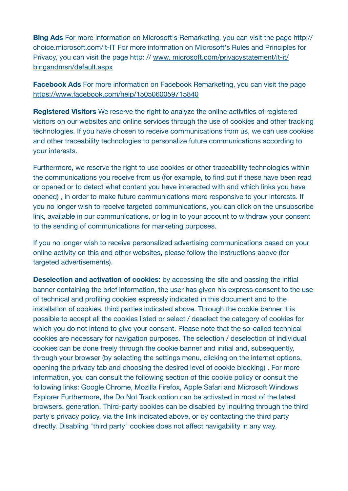**Bing Ads** For more information on Microsoft's Remarketing, you can visit the page http:// choice.microsoft.com/it-IT For more information on Microsoft's Rules and Principles for Privacy, you can visit the page http: // [www. microsoft.com/privacystatement/it-it/](http://www.apple.com/it/) [bingandmsn/default.aspx](http://www.apple.com/it/)

**Facebook Ads** For more information on Facebook Remarketing, you can visit the page <https://www.facebook.com/help/1505060059715840>

**Registered Visitors** We reserve the right to analyze the online activities of registered visitors on our websites and online services through the use of cookies and other tracking technologies. If you have chosen to receive communications from us, we can use cookies and other traceability technologies to personalize future communications according to your interests.

Furthermore, we reserve the right to use cookies or other traceability technologies within the communications you receive from us (for example, to find out if these have been read or opened or to detect what content you have interacted with and which links you have opened) , in order to make future communications more responsive to your interests. If you no longer wish to receive targeted communications, you can click on the unsubscribe link, available in our communications, or log in to your account to withdraw your consent to the sending of communications for marketing purposes.

If you no longer wish to receive personalized advertising communications based on your online activity on this and other websites, please follow the instructions above (for targeted advertisements).

**Deselection and activation of cookies**: by accessing the site and passing the initial banner containing the brief information, the user has given his express consent to the use of technical and profiling cookies expressly indicated in this document and to the installation of cookies. third parties indicated above. Through the cookie banner it is possible to accept all the cookies listed or select / deselect the category of cookies for which you do not intend to give your consent. Please note that the so-called technical cookies are necessary for navigation purposes. The selection / deselection of individual cookies can be done freely through the cookie banner and initial and, subsequently, through your browser (by selecting the settings menu, clicking on the internet options, opening the privacy tab and choosing the desired level of cookie blocking) . For more information, you can consult the following section of this cookie policy or consult the following links: Google Chrome, Mozilla Firefox, Apple Safari and Microsoft Windows Explorer Furthermore, the Do Not Track option can be activated in most of the latest browsers. generation. Third-party cookies can be disabled by inquiring through the third party's privacy policy, via the link indicated above, or by contacting the third party directly. Disabling "third party" cookies does not affect navigability in any way.